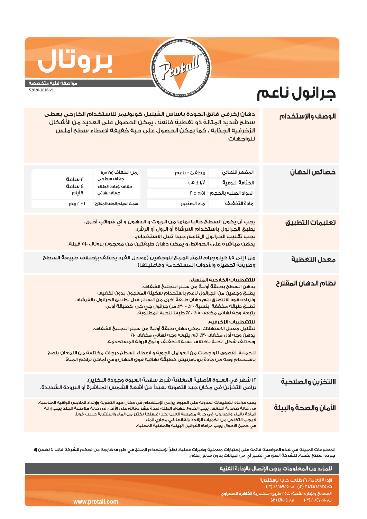

جرانول ناعم

## **JOD**

مواصفة فنية متخصصة

52020-2018-V1

## دهان زخرفى فائق الجودة باساس الفينيل كوبوليمر للاستخدام الخارجى يعطى الوصف والإستخدام سطح شديد المتانة ذو تغطية فائقة ، يمكن الحصول على العديد من الأشكال الزخرفية الجذابة ، كما يمكن الحصول على حبة خفيفة لاعطاء سطح أملس للواحهات خصائص الدهان زمن الجغاف (٢٥°س) مطغئ - ناعم المظهر النهائى أساعة جفاف سطحى  $\cdot$ , 0 ± 1, V الكثافة النوعية ة حسامة حفاف لاعادة الطلاء ۷ أيام حفاف نهائى المواد الصلية بالحجم  $f \pm \%$  01 سمك الغيلم الجاف المقترح مادة التخفيف  $\sqrt{20}$   $\sqrt{1}$ ماء الصنبور يجب أن يكون السطح خاليا تماما من الزيوت و الدهون و أى شوائب أخرى. تعليمات التطبيق يطبق الجرانول باستخدام الفرشاة أو الرول أو الرش. يجب تقليب الجرانول الiناعم جيدا قبل الاستخدام. يدهن مباشرة على الحوائط، و يمكن دهان طبقتين من معجون بروتال ٥١٠ قبله. من ١ إلى ١,٥ كيلوحرام للمتر المربع للوحهين (معدل الفرد يختلف يإختلاف طبيعة السطح معدل التغطية وطريقة تجهيزه والأدوات المستخدمة وفاعليتها). للتشطيبات الخارجية الملساء: نظام الدهان المقترح يدهن السطح بطبقة أولية من سيلر التجليخ الشفاف. يطبق وجهين من الجرانول ناعم باستخدام سكينة المعجون بدون تخفيف ولزيادة قوة الالتصاق يتم دهان طبقة أخرى من السيلر قبل تطبيق الجرانول بالفرشاة. تطبق طبقة مخففة بنسبة ٢٠٪ - ٣٠٪ من جرانول جي كي كطبقة أولى يتبعه وجه نهائى مخفف ١٥٪-٢٠٪ طبقا للحبة المطلوبة. للتشطيبات الزخرفية: لتقليل معدل الاستهلاك، يمكن دهان طبقة أولية من سيلر التجليخ الشغاف. يدهن وجه أول مخفف ٣٠٪ ثم يتبعه وجه نهائى مخفف ١٠٪ ويختلف شكل الحبة باختلاف نسبة التخفيف و نوع الرولة المستخدمة. للحماية القصوى للواجهات من العوامل الجوية و لاعطاء السطح درجات مختلفة من اللمعان ينصح باستخدام وجه من مادة بروتافرنيش كطبقة نهائية فوق الدهان وفي أماكن تراكم المياة. ١٢ شهر فى العبوة الأصلية المغلقة شرط سلامة العبوة وجودة التخزين. االتخزين والصلاحية يراعى التخزين فى مكان جيد التهوية بعيداً عن أشعة الشمس المباشرة أو البرودة الشديدة. يجب مراعاة التعليمات المدونة على العبوة. يراعى الإستخدام فى مكان جيد التهوية وإرتداء الملابس الواقية المناسبة. الأمان والصحة والبيئة فى حالة صعوبة التنفس يجب الخروج للهواء الطلق لمدة عشر دقائق على الأقل. فى حالة ملامسة الجلد يجب إزالة المآدة بالماء والصابون. في حالة ملامسة العين يجب غسلها بكثير من الماء وإستشارة طبيب فوراً. لا يجب التخلص من الكميات الزائدة بإلقائها في مجاري الماء. فى جميعَ الأحوال يجب مراعاة القوانين البيئية والمهنية المحلية.

المعلومات المبينة فى هذه المواصفة قائمة على إختبارات معملية وخبرات عملية. نظراً لإستخدام المنتج فى ظروف خارجة عن تحكم الشركة فإننا لا نضمن إلا جودة المنتج نفسه. للشركة الحق فى تغيير أى من البيانات بدون سابق إعلام.

|               | <sub>ا</sub> للمزيد من المعلومات يرجى الإتصال بالإدارة الفنية ا                                                                                                                          |
|---------------|------------------------------------------------------------------------------------------------------------------------------------------------------------------------------------------|
| v.protall.com | الادارة العامة؛ ٢٧ طلعت حرب الاسكندرية<br>ت: ٢٥/٢٨٦٨٩٢٥/٢٣ (٣٠) ف: ٤٨٦٨٩٢٥ (٣٠)<br>أالمصانع والإدارة الفنية؛ ك٢٥ طريق إسكندرية القاهرة الصحراوى ا<br>,ت: ۲۰/٤٧٠١١١٠) هـ: ۱٤١١٠١٤١ (۳٠) ا |